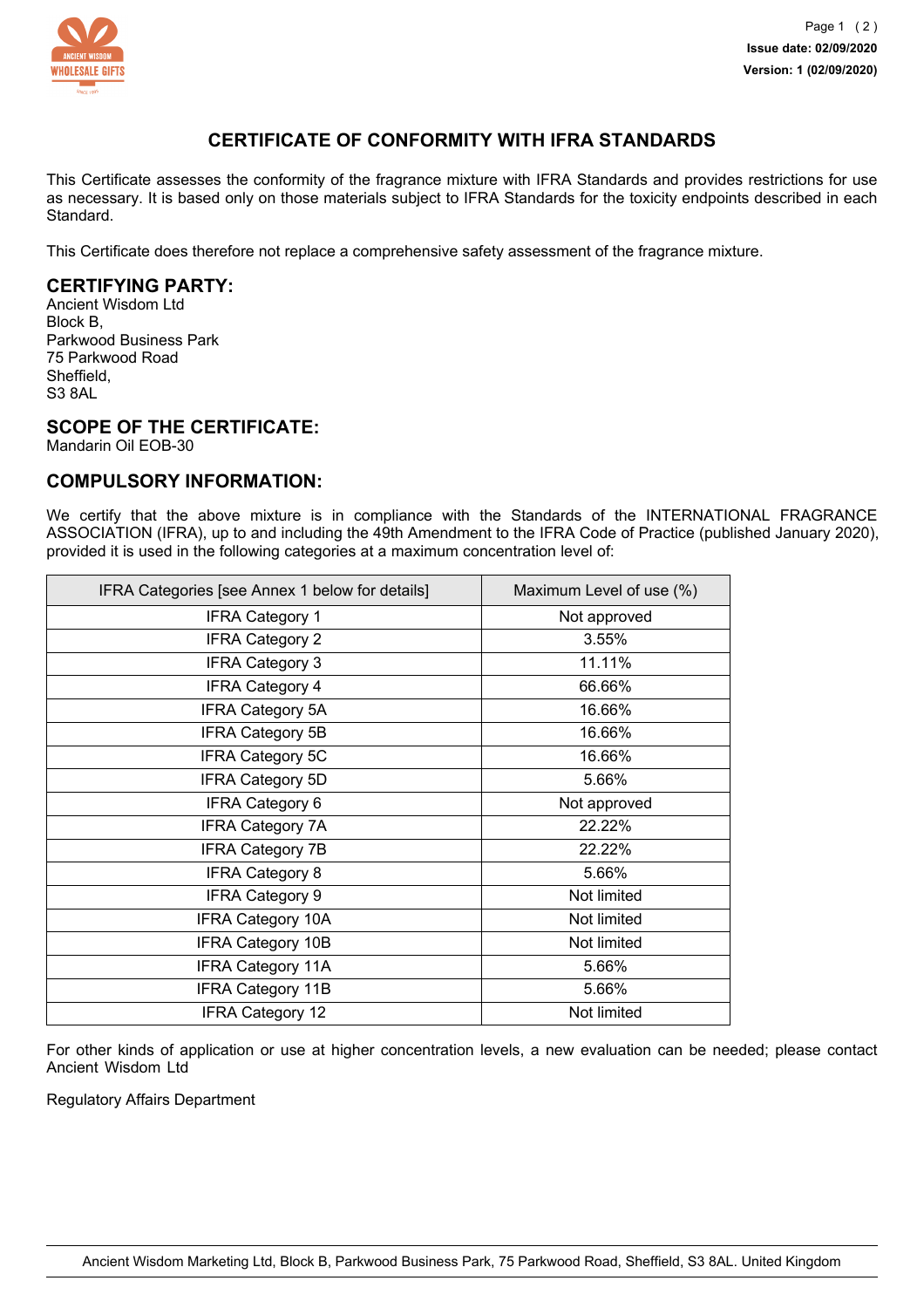

# **CERTIFICATE OF CONFORMITY WITH IFRA STANDARDS**

This Certificate assesses the conformity of the fragrance mixture with IFRA Standards and provides restrictions for use as necessary. It is based only on those materials subject to IFRA Standards for the toxicity endpoints described in each Standard.

This Certificate does therefore not replace a comprehensive safety assessment of the fragrance mixture.

# **CERTIFYING PARTY:**

Ancient Wisdom Ltd Block B, Parkwood Business Park 75 Parkwood Road Sheffield, S3 8AL

## **SCOPE OF THE CERTIFICATE:**

Mandarin Oil EOB-30

### **COMPULSORY INFORMATION:**

We certify that the above mixture is in compliance with the Standards of the INTERNATIONAL FRAGRANCE ASSOCIATION (IFRA), up to and including the 49th Amendment to the IFRA Code of Practice (published January 2020), provided it is used in the following categories at a maximum concentration level of:

| IFRA Categories [see Annex 1 below for details] | Maximum Level of use (%) |
|-------------------------------------------------|--------------------------|
| <b>IFRA Category 1</b>                          | Not approved             |
| <b>IFRA Category 2</b>                          | 3.55%                    |
| <b>IFRA Category 3</b>                          | 11.11%                   |
| <b>IFRA Category 4</b>                          | 66.66%                   |
| <b>IFRA Category 5A</b>                         | 16.66%                   |
| <b>IFRA Category 5B</b>                         | 16.66%                   |
| IFRA Category 5C                                | 16.66%                   |
| <b>IFRA Category 5D</b>                         | 5.66%                    |
| <b>IFRA Category 6</b>                          | Not approved             |
| <b>IFRA Category 7A</b>                         | 22.22%                   |
| <b>IFRA Category 7B</b>                         | 22.22%                   |
| <b>IFRA Category 8</b>                          | 5.66%                    |
| <b>IFRA Category 9</b>                          | Not limited              |
| <b>IFRA Category 10A</b>                        | Not limited              |
| <b>IFRA Category 10B</b>                        | Not limited              |
| <b>IFRA Category 11A</b>                        | 5.66%                    |
| <b>IFRA Category 11B</b>                        | 5.66%                    |
| <b>IFRA Category 12</b>                         | Not limited              |

For other kinds of application or use at higher concentration levels, a new evaluation can be needed; please contact Ancient Wisdom Ltd

Regulatory Affairs Department